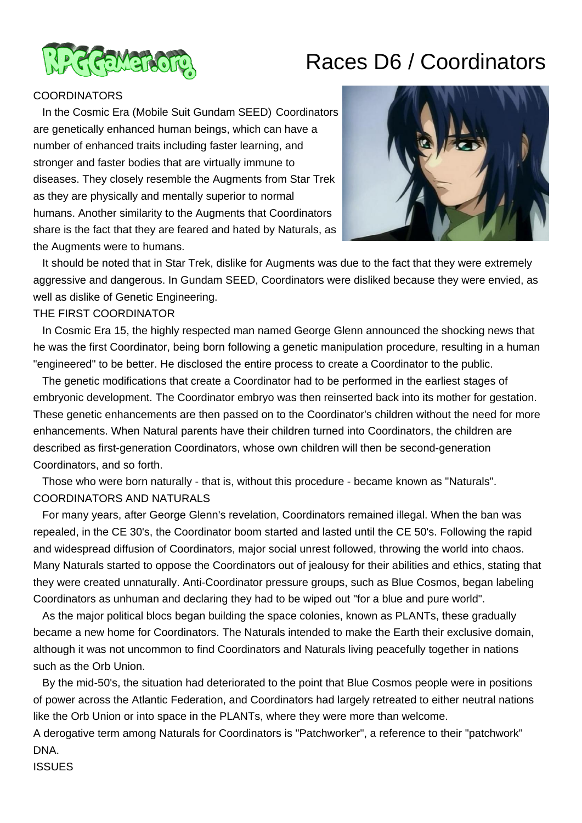

# Races D6 / Coordinators

### **COORDINATORS**

 In the Cosmic Era (Mobile Suit Gundam SEED) Coordinators are genetically enhanced human beings, which can have a number of enhanced traits including faster learning, and stronger and faster bodies that are virtually immune to diseases. They closely resemble the Augments from Star Trek as they are physically and mentally superior to normal humans. Another similarity to the Augments that Coordinators share is the fact that they are feared and hated by Naturals, as the Augments were to humans.



 It should be noted that in Star Trek, dislike for Augments was due to the fact that they were extremely aggressive and dangerous. In Gundam SEED, Coordinators were disliked because they were envied, as well as dislike of Genetic Engineering.

### THE FIRST COORDINATOR

 In Cosmic Era 15, the highly respected man named George Glenn announced the shocking news that he was the first Coordinator, being born following a genetic manipulation procedure, resulting in a human "engineered" to be better. He disclosed the entire process to create a Coordinator to the public.

 The genetic modifications that create a Coordinator had to be performed in the earliest stages of embryonic development. The Coordinator embryo was then reinserted back into its mother for gestation. These genetic enhancements are then passed on to the Coordinator's children without the need for more enhancements. When Natural parents have their children turned into Coordinators, the children are described as first-generation Coordinators, whose own children will then be second-generation Coordinators, and so forth.

 Those who were born naturally - that is, without this procedure - became known as "Naturals". COORDINATORS AND NATURALS

 For many years, after George Glenn's revelation, Coordinators remained illegal. When the ban was repealed, in the CE 30's, the Coordinator boom started and lasted until the CE 50's. Following the rapid and widespread diffusion of Coordinators, major social unrest followed, throwing the world into chaos. Many Naturals started to oppose the Coordinators out of jealousy for their abilities and ethics, stating that they were created unnaturally. Anti-Coordinator pressure groups, such as Blue Cosmos, began labeling Coordinators as unhuman and declaring they had to be wiped out "for a blue and pure world".

 As the major political blocs began building the space colonies, known as PLANTs, these gradually became a new home for Coordinators. The Naturals intended to make the Earth their exclusive domain, although it was not uncommon to find Coordinators and Naturals living peacefully together in nations such as the Orb Union.

 By the mid-50's, the situation had deteriorated to the point that Blue Cosmos people were in positions of power across the Atlantic Federation, and Coordinators had largely retreated to either neutral nations like the Orb Union or into space in the PLANTs, where they were more than welcome.

A derogative term among Naturals for Coordinators is "Patchworker", a reference to their "patchwork" DNA.

ISSUES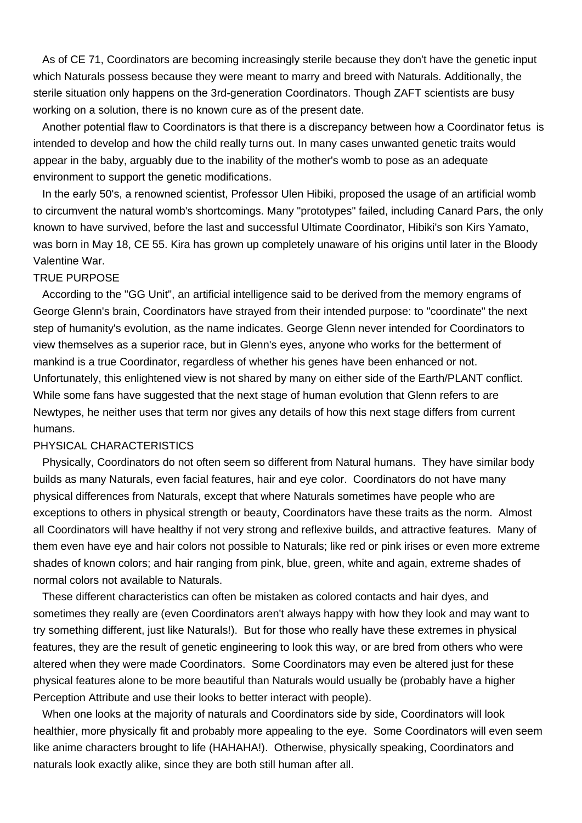As of CE 71, Coordinators are becoming increasingly sterile because they don't have the genetic input which Naturals possess because they were meant to marry and breed with Naturals. Additionally, the sterile situation only happens on the 3rd-generation Coordinators. Though ZAFT scientists are busy working on a solution, there is no known cure as of the present date.

 Another potential flaw to Coordinators is that there is a discrepancy between how a Coordinator fetus is intended to develop and how the child really turns out. In many cases unwanted genetic traits would appear in the baby, arguably due to the inability of the mother's womb to pose as an adequate environment to support the genetic modifications.

 In the early 50's, a renowned scientist, Professor Ulen Hibiki, proposed the usage of an artificial womb to circumvent the natural womb's shortcomings. Many "prototypes" failed, including Canard Pars, the only known to have survived, before the last and successful Ultimate Coordinator, Hibiki's son Kirs Yamato, was born in May 18, CE 55. Kira has grown up completely unaware of his origins until later in the Bloody Valentine War.

#### TRUE PURPOSE

 According to the "GG Unit", an artificial intelligence said to be derived from the memory engrams of George Glenn's brain, Coordinators have strayed from their intended purpose: to "coordinate" the next step of humanity's evolution, as the name indicates. George Glenn never intended for Coordinators to view themselves as a superior race, but in Glenn's eyes, anyone who works for the betterment of mankind is a true Coordinator, regardless of whether his genes have been enhanced or not. Unfortunately, this enlightened view is not shared by many on either side of the Earth/PLANT conflict. While some fans have suggested that the next stage of human evolution that Glenn refers to are Newtypes, he neither uses that term nor gives any details of how this next stage differs from current humans.

# PHYSICAL CHARACTERISTICS

 Physically, Coordinators do not often seem so different from Natural humans. They have similar body builds as many Naturals, even facial features, hair and eye color. Coordinators do not have many physical differences from Naturals, except that where Naturals sometimes have people who are exceptions to others in physical strength or beauty, Coordinators have these traits as the norm. Almost all Coordinators will have healthy if not very strong and reflexive builds, and attractive features. Many of them even have eye and hair colors not possible to Naturals; like red or pink irises or even more extreme shades of known colors; and hair ranging from pink, blue, green, white and again, extreme shades of normal colors not available to Naturals.

 These different characteristics can often be mistaken as colored contacts and hair dyes, and sometimes they really are (even Coordinators aren't always happy with how they look and may want to try something different, just like Naturals!). But for those who really have these extremes in physical features, they are the result of genetic engineering to look this way, or are bred from others who were altered when they were made Coordinators. Some Coordinators may even be altered just for these physical features alone to be more beautiful than Naturals would usually be (probably have a higher Perception Attribute and use their looks to better interact with people).

 When one looks at the majority of naturals and Coordinators side by side, Coordinators will look healthier, more physically fit and probably more appealing to the eye. Some Coordinators will even seem like anime characters brought to life (HAHAHA!). Otherwise, physically speaking, Coordinators and naturals look exactly alike, since they are both still human after all.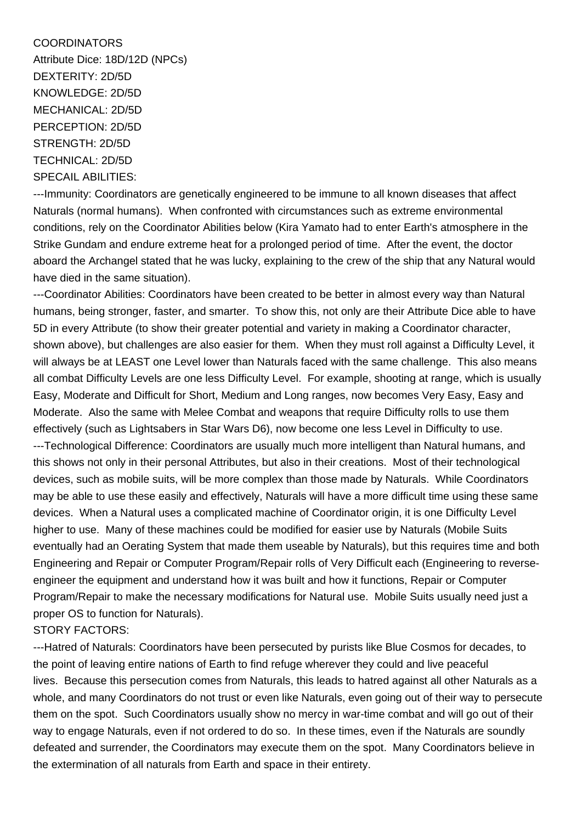# COORDINATORS

Attribute Dice: 18D/12D (NPCs) DEXTERITY: 2D/5D KNOWLEDGE: 2D/5D MECHANICAL: 2D/5D PERCEPTION: 2D/5D STRENGTH: 2D/5D TECHNICAL: 2D/5D SPECAIL ABILITIES:

---Immunity: Coordinators are genetically engineered to be immune to all known diseases that affect Naturals (normal humans). When confronted with circumstances such as extreme environmental conditions, rely on the Coordinator Abilities below (Kira Yamato had to enter Earth's atmosphere in the Strike Gundam and endure extreme heat for a prolonged period of time. After the event, the doctor aboard the Archangel stated that he was lucky, explaining to the crew of the ship that any Natural would have died in the same situation).

---Coordinator Abilities: Coordinators have been created to be better in almost every way than Natural humans, being stronger, faster, and smarter. To show this, not only are their Attribute Dice able to have 5D in every Attribute (to show their greater potential and variety in making a Coordinator character, shown above), but challenges are also easier for them. When they must roll against a Difficulty Level, it will always be at LEAST one Level lower than Naturals faced with the same challenge. This also means all combat Difficulty Levels are one less Difficulty Level. For example, shooting at range, which is usually Easy, Moderate and Difficult for Short, Medium and Long ranges, now becomes Very Easy, Easy and Moderate. Also the same with Melee Combat and weapons that require Difficulty rolls to use them effectively (such as Lightsabers in Star Wars D6), now become one less Level in Difficulty to use. ---Technological Difference: Coordinators are usually much more intelligent than Natural humans, and this shows not only in their personal Attributes, but also in their creations. Most of their technological devices, such as mobile suits, will be more complex than those made by Naturals. While Coordinators may be able to use these easily and effectively, Naturals will have a more difficult time using these same devices. When a Natural uses a complicated machine of Coordinator origin, it is one Difficulty Level higher to use. Many of these machines could be modified for easier use by Naturals (Mobile Suits eventually had an Oerating System that made them useable by Naturals), but this requires time and both Engineering and Repair or Computer Program/Repair rolls of Very Difficult each (Engineering to reverseengineer the equipment and understand how it was built and how it functions, Repair or Computer Program/Repair to make the necessary modifications for Natural use. Mobile Suits usually need just a proper OS to function for Naturals). STORY FACTORS:

---Hatred of Naturals: Coordinators have been persecuted by purists like Blue Cosmos for decades, to the point of leaving entire nations of Earth to find refuge wherever they could and live peaceful lives. Because this persecution comes from Naturals, this leads to hatred against all other Naturals as a whole, and many Coordinators do not trust or even like Naturals, even going out of their way to persecute them on the spot. Such Coordinators usually show no mercy in war-time combat and will go out of their way to engage Naturals, even if not ordered to do so. In these times, even if the Naturals are soundly defeated and surrender, the Coordinators may execute them on the spot. Many Coordinators believe in the extermination of all naturals from Earth and space in their entirety.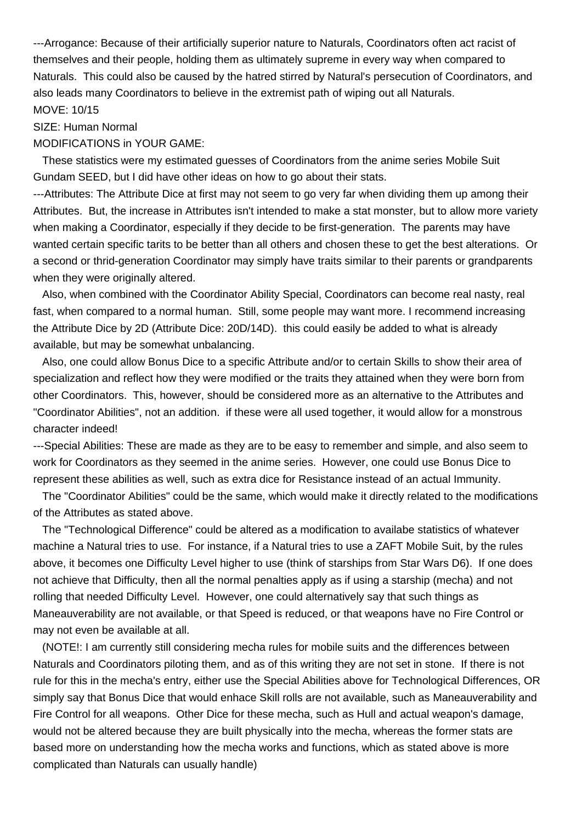---Arrogance: Because of their artificially superior nature to Naturals, Coordinators often act racist of themselves and their people, holding them as ultimately supreme in every way when compared to Naturals. This could also be caused by the hatred stirred by Natural's persecution of Coordinators, and also leads many Coordinators to believe in the extremist path of wiping out all Naturals. MOVE: 10/15

#### SIZE: Human Normal

#### MODIFICATIONS in YOUR GAME:

 These statistics were my estimated guesses of Coordinators from the anime series Mobile Suit Gundam SEED, but I did have other ideas on how to go about their stats.

---Attributes: The Attribute Dice at first may not seem to go very far when dividing them up among their Attributes. But, the increase in Attributes isn't intended to make a stat monster, but to allow more variety when making a Coordinator, especially if they decide to be first-generation. The parents may have wanted certain specific tarits to be better than all others and chosen these to get the best alterations. Or a second or thrid-generation Coordinator may simply have traits similar to their parents or grandparents when they were originally altered.

 Also, when combined with the Coordinator Ability Special, Coordinators can become real nasty, real fast, when compared to a normal human. Still, some people may want more. I recommend increasing the Attribute Dice by 2D (Attribute Dice: 20D/14D). this could easily be added to what is already available, but may be somewhat unbalancing.

 Also, one could allow Bonus Dice to a specific Attribute and/or to certain Skills to show their area of specialization and reflect how they were modified or the traits they attained when they were born from other Coordinators. This, however, should be considered more as an alternative to the Attributes and "Coordinator Abilities", not an addition. if these were all used together, it would allow for a monstrous character indeed!

---Special Abilities: These are made as they are to be easy to remember and simple, and also seem to work for Coordinators as they seemed in the anime series. However, one could use Bonus Dice to represent these abilities as well, such as extra dice for Resistance instead of an actual Immunity.

 The "Coordinator Abilities" could be the same, which would make it directly related to the modifications of the Attributes as stated above.

 The "Technological Difference" could be altered as a modification to availabe statistics of whatever machine a Natural tries to use. For instance, if a Natural tries to use a ZAFT Mobile Suit, by the rules above, it becomes one Difficulty Level higher to use (think of starships from Star Wars D6). If one does not achieve that Difficulty, then all the normal penalties apply as if using a starship (mecha) and not rolling that needed Difficulty Level. However, one could alternatively say that such things as Maneauverability are not available, or that Speed is reduced, or that weapons have no Fire Control or may not even be available at all.

 (NOTE!: I am currently still considering mecha rules for mobile suits and the differences between Naturals and Coordinators piloting them, and as of this writing they are not set in stone. If there is not rule for this in the mecha's entry, either use the Special Abilities above for Technological Differences, OR simply say that Bonus Dice that would enhace Skill rolls are not available, such as Maneauverability and Fire Control for all weapons. Other Dice for these mecha, such as Hull and actual weapon's damage, would not be altered because they are built physically into the mecha, whereas the former stats are based more on understanding how the mecha works and functions, which as stated above is more complicated than Naturals can usually handle)